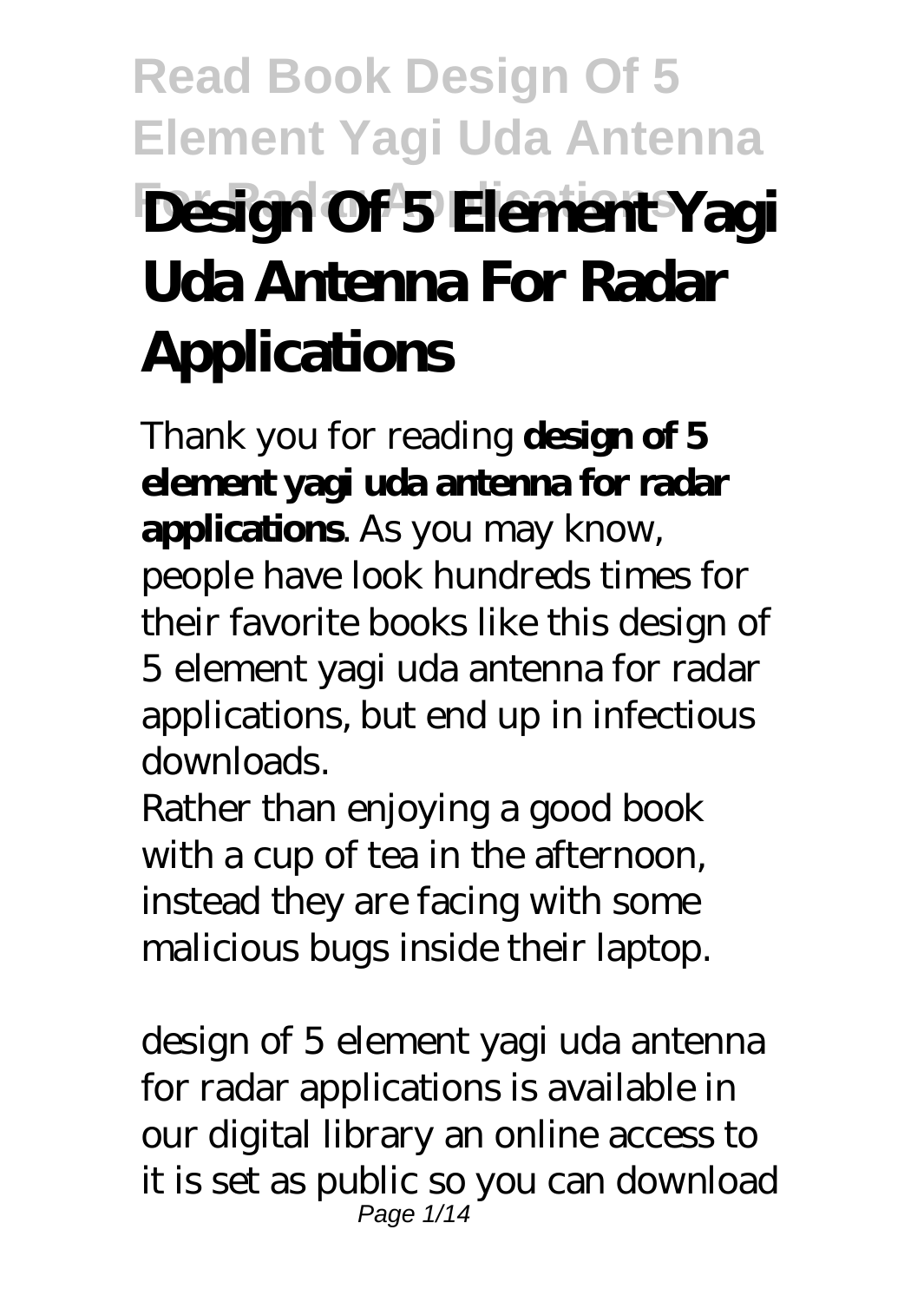# **Read Book Design Of 5 Element Yagi Uda Antenna For Radar Applications Design Of 5 Element Yagi Uda Antenna For Radar Applications**

Thank you for reading **design of 5 element yagi uda antenna for radar applications**. As you may know, people have look hundreds times for their favorite books like this design of 5 element yagi uda antenna for radar applications, but end up in infectious downloads.

Rather than enjoying a good book with a cup of tea in the afternoon, instead they are facing with some malicious bugs inside their laptop.

design of 5 element yagi uda antenna for radar applications is available in our digital library an online access to it is set as public so you can download Page 1/14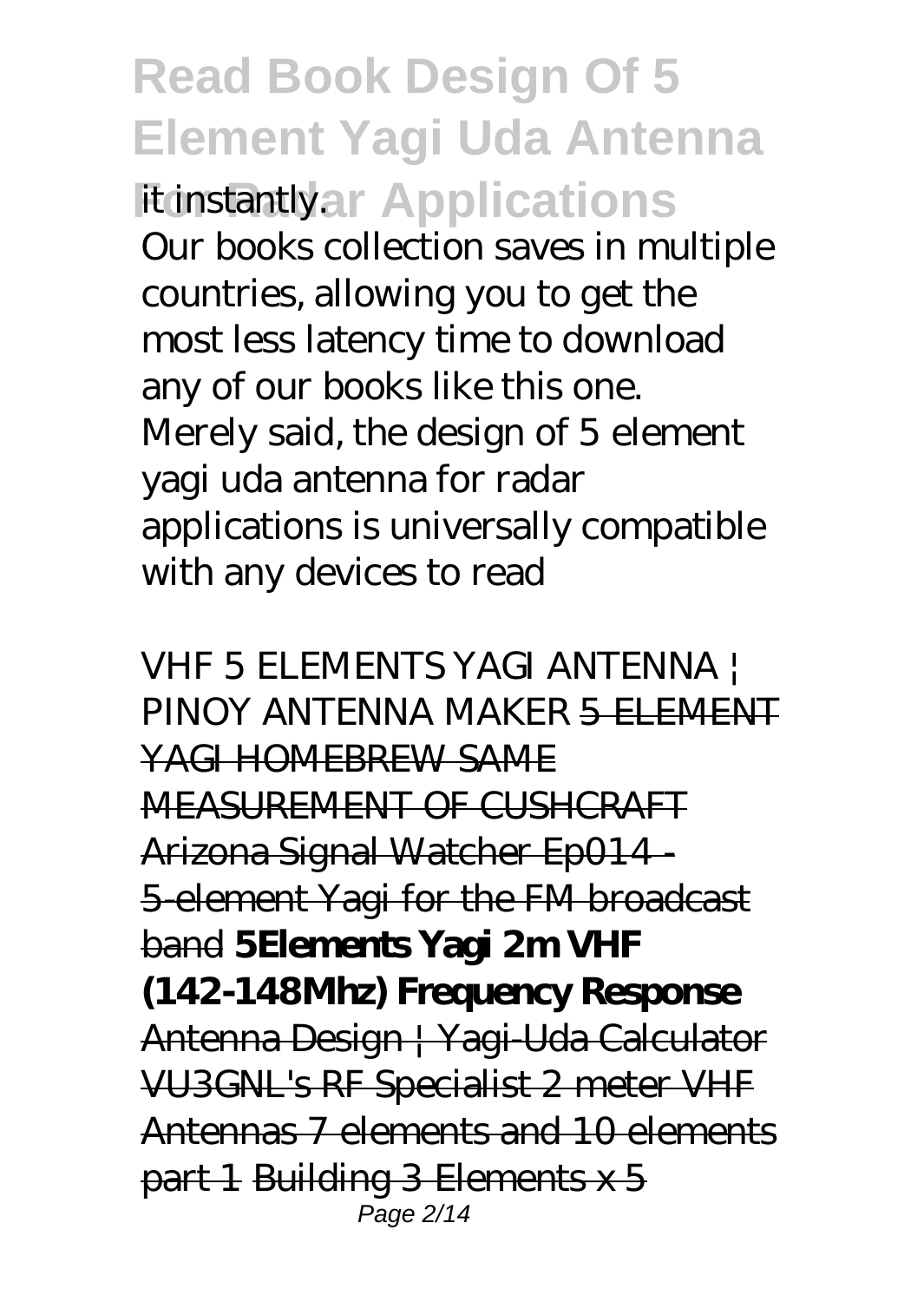**Read Book Design Of 5 Element Yagi Uda Antenna Fit instantlyar Applications** Our books collection saves in multiple countries, allowing you to get the most less latency time to download any of our books like this one. Merely said, the design of 5 element yagi uda antenna for radar applications is universally compatible with any devices to read

*VHF 5 ELEMENTS YAGI ANTENNA | PINOY ANTENNA MAKER* 5 ELEMENT YAGI HOMEBREW SAME MEASUREMENT OF CUSHCRAFT Arizona Signal Watcher Ep014 - 5-element Yagi for the FM broadcast band **5Elements Yagi 2m VHF (142-148Mhz) Frequency Response** Antenna Design | Yagi-Uda Calculator VU3GNL's RF Specialist 2 meter VHF Antennas 7 elements and 10 elements part 1 Building 3 Elements x 5 Page 2/14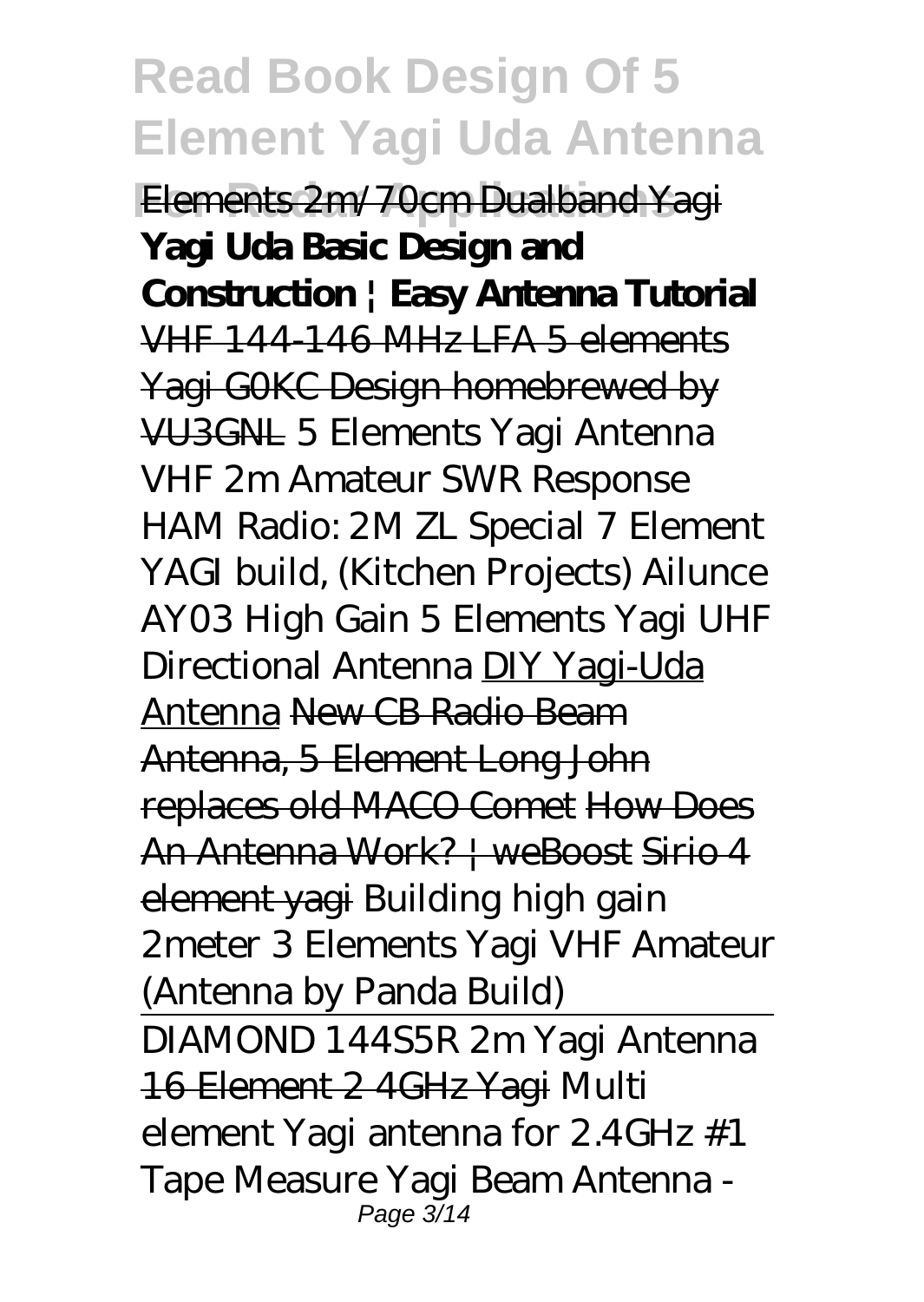**Elements 2m/70cm Dualband Yagi Yagi Uda Basic Design and Construction | Easy Antenna Tutorial** VHF 144-146 MHz LFA 5 elements Yagi G0KC Design homebrewed by VU3GNL *5 Elements Yagi Antenna VHF 2m Amateur SWR Response HAM Radio: 2M ZL Special 7 Element YAGI build, (Kitchen Projects) Ailunce AY03 High Gain 5 Elements Yagi UHF Directional Antenna* DIY Yagi-Uda Antenna New CB Radio Beam Antenna, 5 Element Long John replaces old MACO Comet How Does An Antenna Work? | weBoost Sirio 4 element yagi *Building high gain 2meter 3 Elements Yagi VHF Amateur (Antenna by Panda Build)*

DIAMOND 144S5R 2m Yagi Antenna 16 Element 2 4GHz Yagi *Multi element Yagi antenna for 2.4GHz #1 Tape Measure Yagi Beam Antenna -* Page 3/14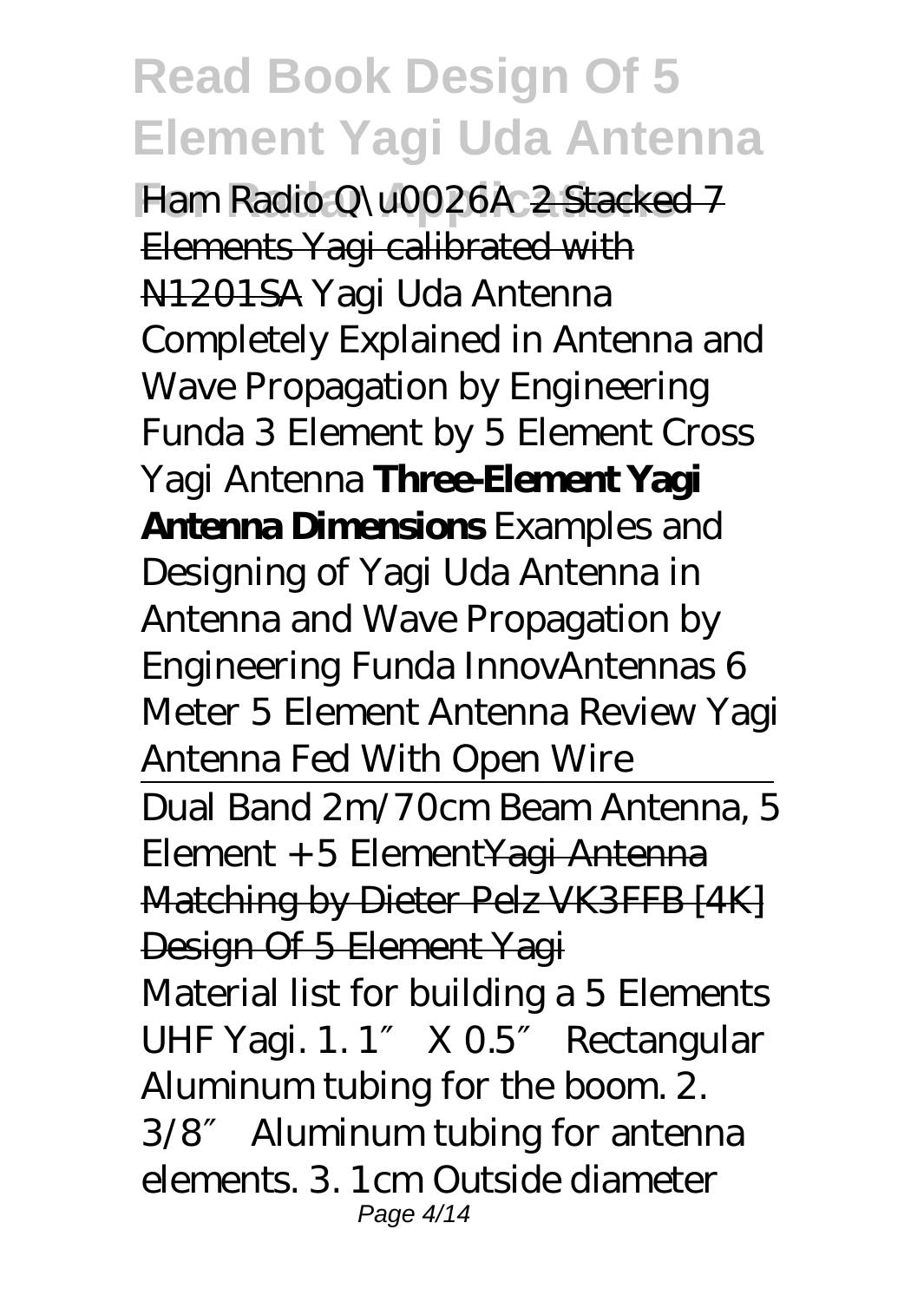**Ham Radio Q\u0026A** 2 Stacked 7 Elements Yagi calibrated with N1201SA Yagi Uda Antenna Completely Explained in Antenna and Wave Propagation by Engineering Funda *3 Element by 5 Element Cross Yagi Antenna* **Three-Element Yagi Antenna Dimensions** *Examples and Designing of Yagi Uda Antenna in Antenna and Wave Propagation by Engineering Funda InnovAntennas 6 Meter 5 Element Antenna Review Yagi Antenna Fed With Open Wire* Dual Band 2m/70cm Beam Antenna, 5 Element + 5 ElementYagi Antenna Matching by Dieter Pelz VK3FFB [4K] Design Of 5 Element Yagi Material list for building a 5 Elements UHF Yagi. 1. 1 X 0.5 Rectangular Aluminum tubing for the boom. 2. 3/8″ Aluminum tubing for antenna elements. 3. 1cm Outside diameter Page 4/14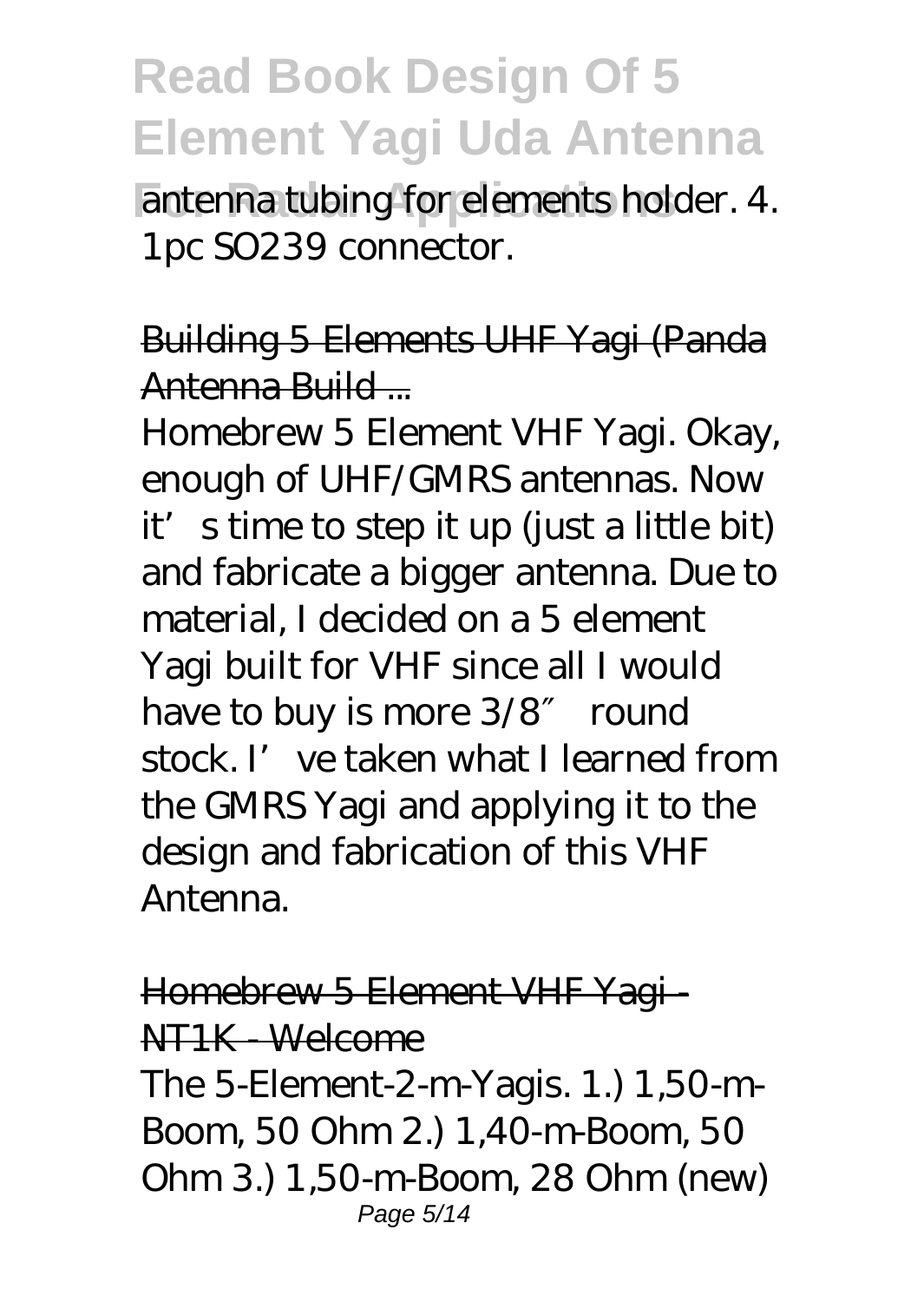antenna tubing for elements holder. 4. 1pc SO239 connector.

Building 5 Elements UHF Yagi (Panda Antenna Build ...

Homebrew 5 Element VHF Yagi. Okay, enough of UHF/GMRS antennas. Now it's time to step it up (just a little bit) and fabricate a bigger antenna. Due to material, I decided on a 5 element Yagi built for VHF since all I would have to buy is more 3/8 round stock. I've taken what I learned from the GMRS Yagi and applying it to the design and fabrication of this VHF Antenna.

Homebrew 5 Element VHF Yagi - NT1K - Welcome The 5-Element-2-m-Yagis. 1.) 1,50-m-Boom, 50 Ohm 2.) 1,40-m-Boom, 50 Ohm 3.) 1,50-m-Boom, 28 Ohm (new) Page 5/14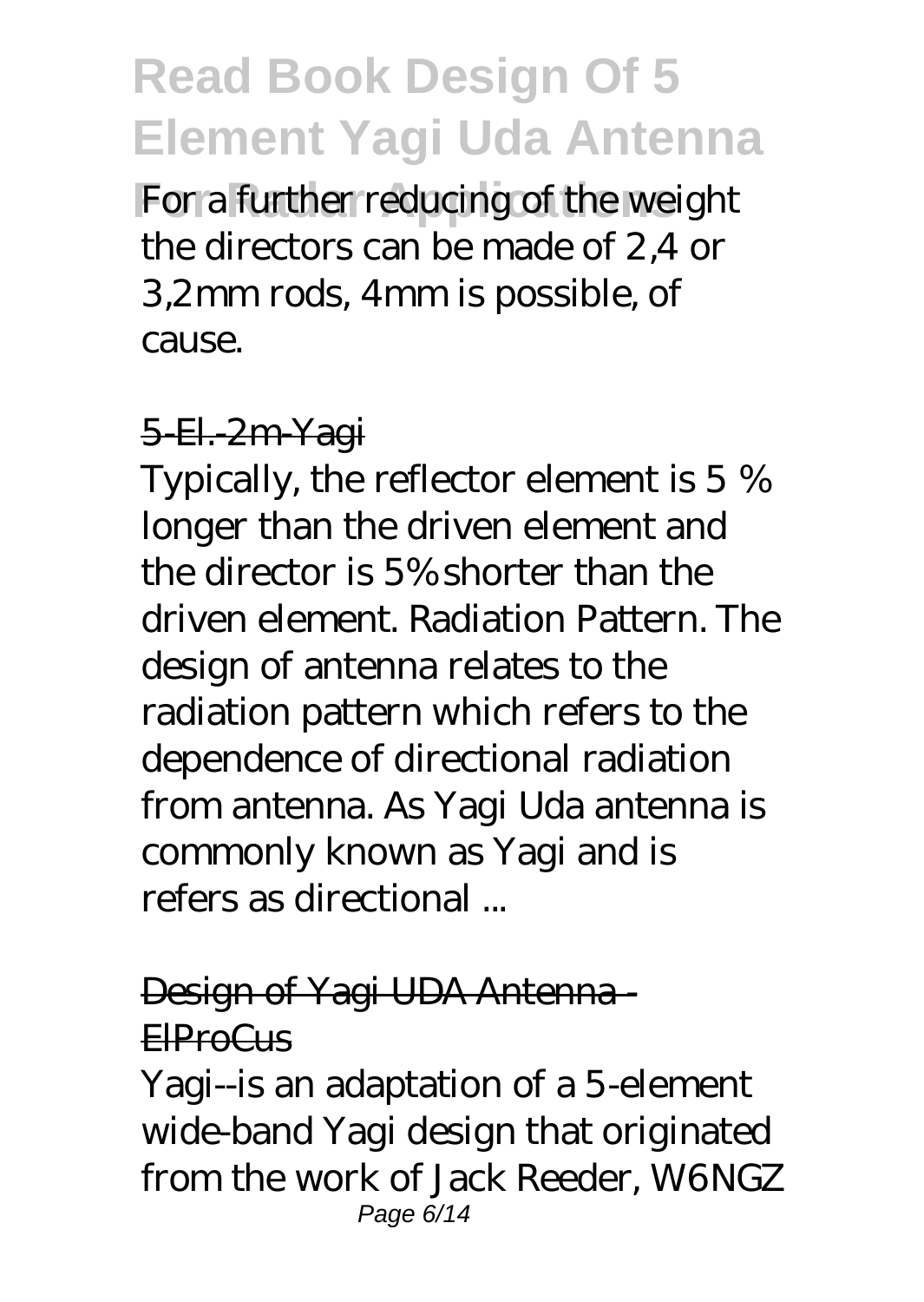For a further reducing of the weight the directors can be made of 2,4 or 3,2mm rods, 4mm is possible, of cause.

#### 5-El. 2m Yagi

Typically, the reflector element is 5 % longer than the driven element and the director is 5% shorter than the driven element. Radiation Pattern. The design of antenna relates to the radiation pattern which refers to the dependence of directional radiation from antenna. As Yagi Uda antenna is commonly known as Yagi and is refers as directional ...

#### Design of Yagi UDA Antenna - ElProCus

Yagi--is an adaptation of a 5-element wide-band Yagi design that originated from the work of Jack Reeder, W6NGZ Page 6/14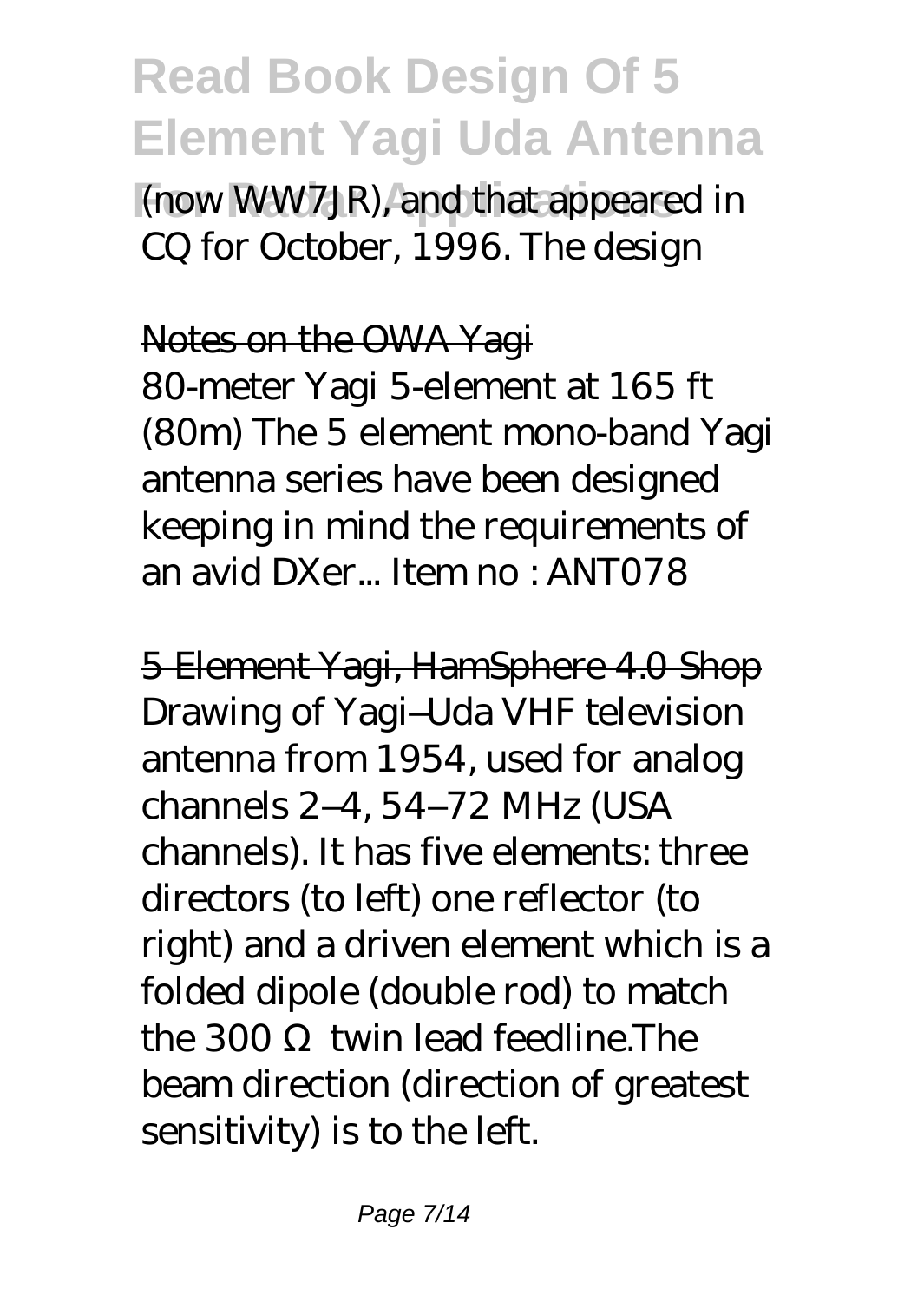(now WW7JR), and that appeared in CQ for October, 1996. The design

#### Notes on the OWA Yagi

80-meter Yagi 5-element at 165 ft (80m) The 5 element mono-band Yagi antenna series have been designed keeping in mind the requirements of an avid DXer... Item no : ANT078

5 Element Yagi, HamSphere 4.0 Shop Drawing of Yagi–Uda VHF television antenna from 1954, used for analog channels 2–4, 54–72 MHz (USA channels). It has five elements: three directors (to left) one reflector (to right) and a driven element which is a folded dipole (double rod) to match  $the 300$  twin lead feedline. The beam direction (direction of greatest sensitivity) is to the left.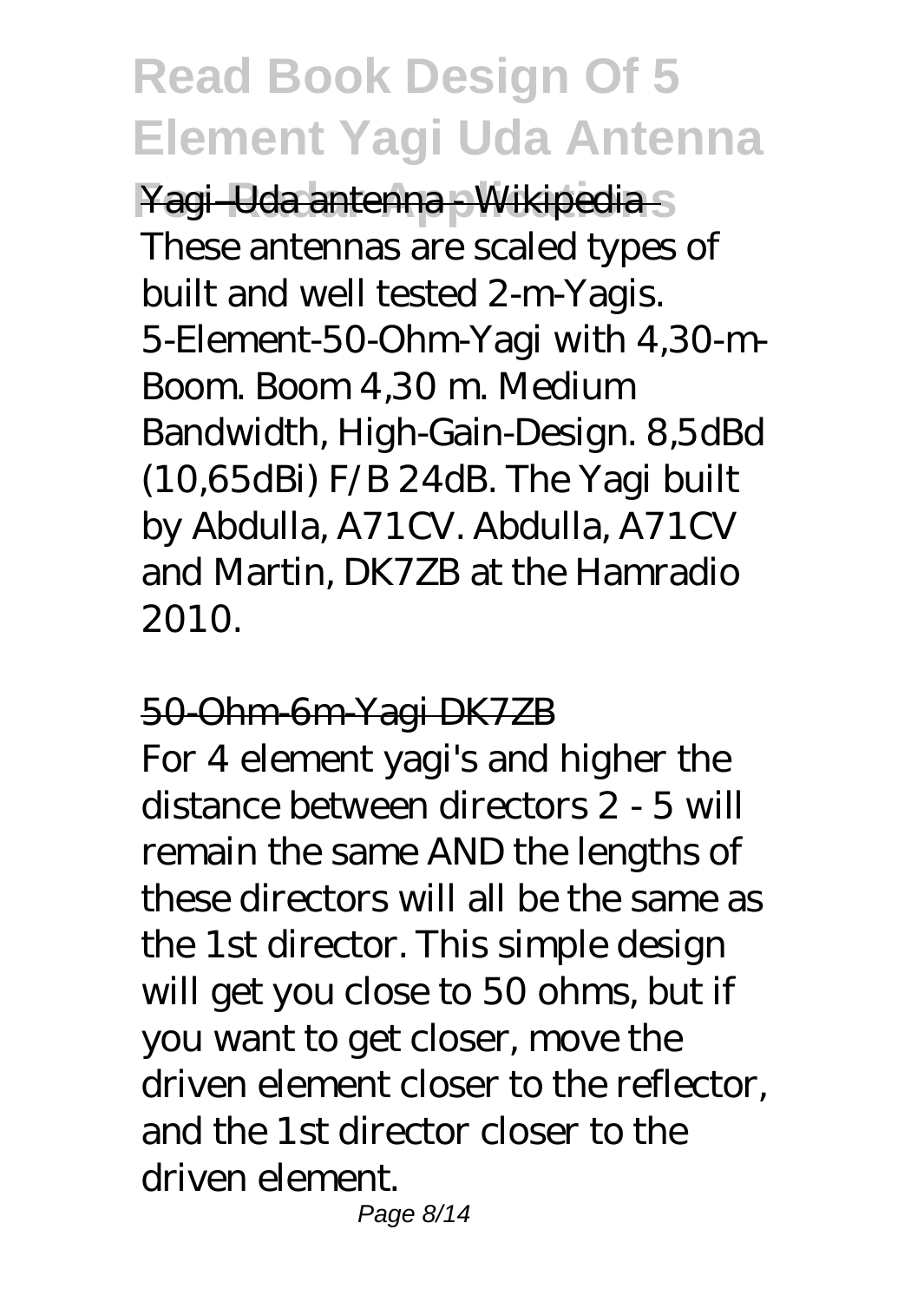Yagi–Uda antenna - Wikipedia - S These antennas are scaled types of built and well tested 2-m-Yagis. 5-Element-50-Ohm-Yagi with 4,30-m-Boom. Boom 4,30 m. Medium Bandwidth, High-Gain-Design. 8,5dBd (10,65dBi) F/B 24dB. The Yagi built by Abdulla, A71CV. Abdulla, A71CV and Martin, DK7ZB at the Hamradio 2010.

#### 50-Ohm-6m-Yagi DK7ZB

For 4 element yagi's and higher the distance between directors 2 - 5 will remain the same AND the lengths of these directors will all be the same as the 1st director. This simple design will get you close to 50 ohms, but if you want to get closer, move the driven element closer to the reflector, and the 1st director closer to the driven element.

Page 8/14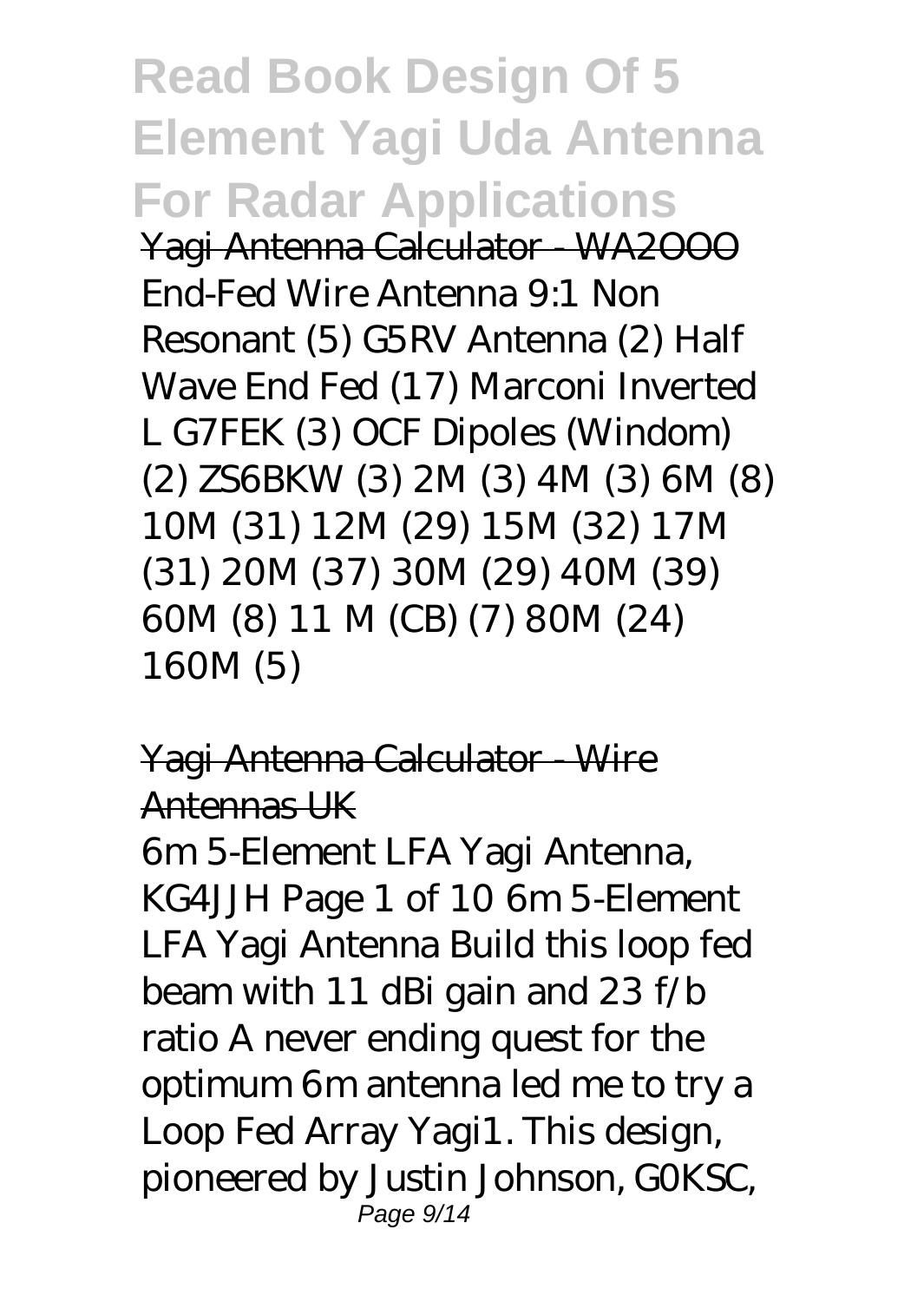**Read Book Design Of 5 Element Yagi Uda Antenna For Radar Applications** Yagi Antenna Calculator - WA2OOO End-Fed Wire Antenna 9:1 Non Resonant (5) G5RV Antenna (2) Half Wave End Fed (17) Marconi Inverted L G7FEK (3) OCF Dipoles (Windom) (2) ZS6BKW (3) 2M (3) 4M (3) 6M (8) 10M (31) 12M (29) 15M (32) 17M (31) 20M (37) 30M (29) 40M (39) 60M (8) 11 M (CB) (7) 80M (24) 160M (5)

#### Yagi Antenna Calculator - Wire Antennas UK

6m 5-Element LFA Yagi Antenna, KG4JJH Page 1 of 10 6m 5-Element LFA Yagi Antenna Build this loop fed beam with 11 dBi gain and 23 f/b ratio A never ending quest for the optimum 6m antenna led me to try a Loop Fed Array Yagi1. This design, pioneered by Justin Johnson, G0KSC, Page 9/14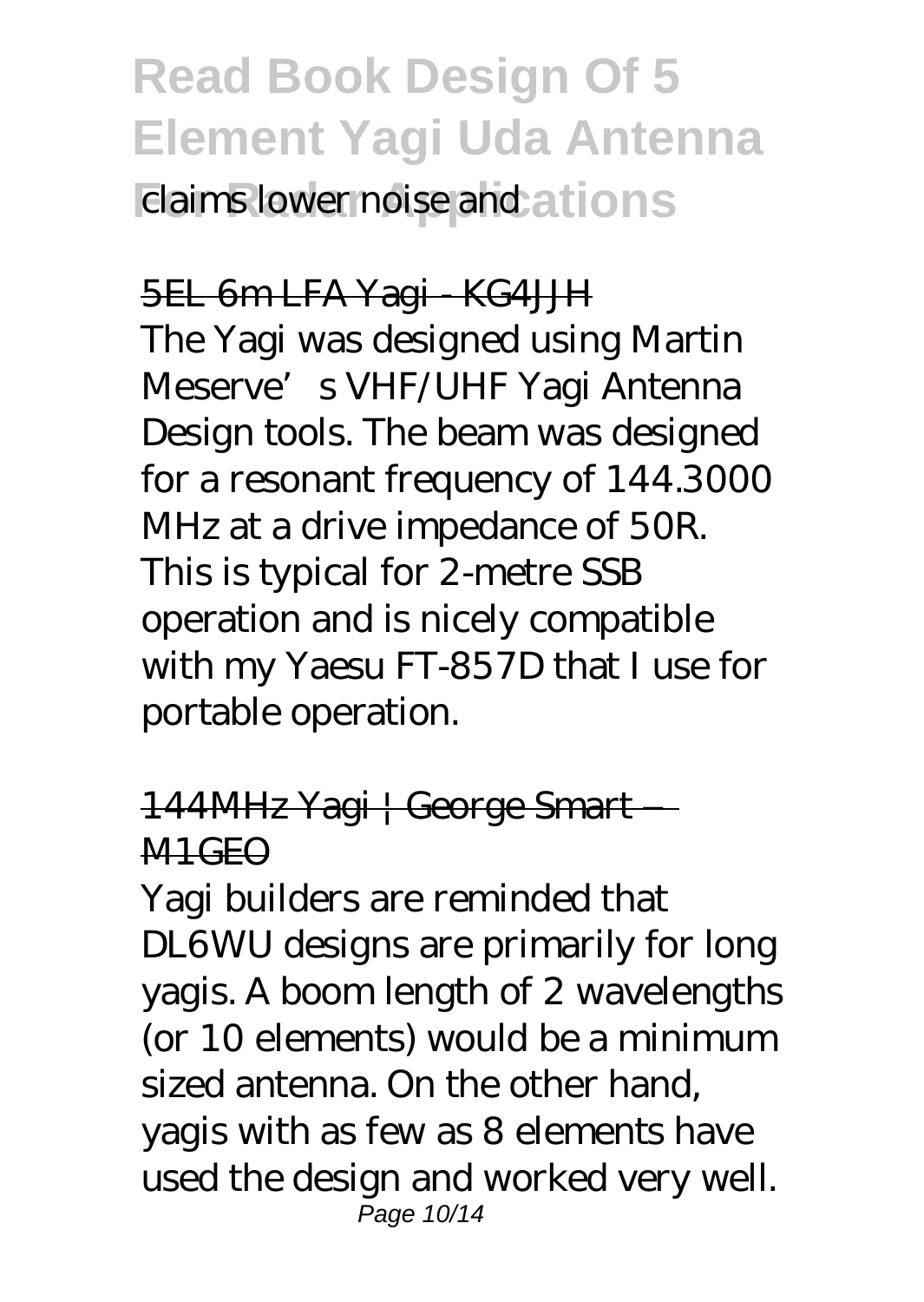### **Read Book Design Of 5 Element Yagi Uda Antenna Elaims lower noise and ations**

#### 5EL 6m LFA Yagi - KG4JJH The Yagi was designed using Martin Meserve's VHF/UHF Yagi Antenna Design tools. The beam was designed for a resonant frequency of 144.3000 MHz at a drive impedance of 50R. This is typical for 2-metre SSB operation and is nicely compatible with my Yaesu FT-857D that I use for portable operation.

#### 144MHz Yagi | George Smart – M1GEO

Yagi builders are reminded that DL6WU designs are primarily for long yagis. A boom length of 2 wavelengths (or 10 elements) would be a minimum sized antenna. On the other hand, yagis with as few as 8 elements have used the design and worked very well. Page 10/14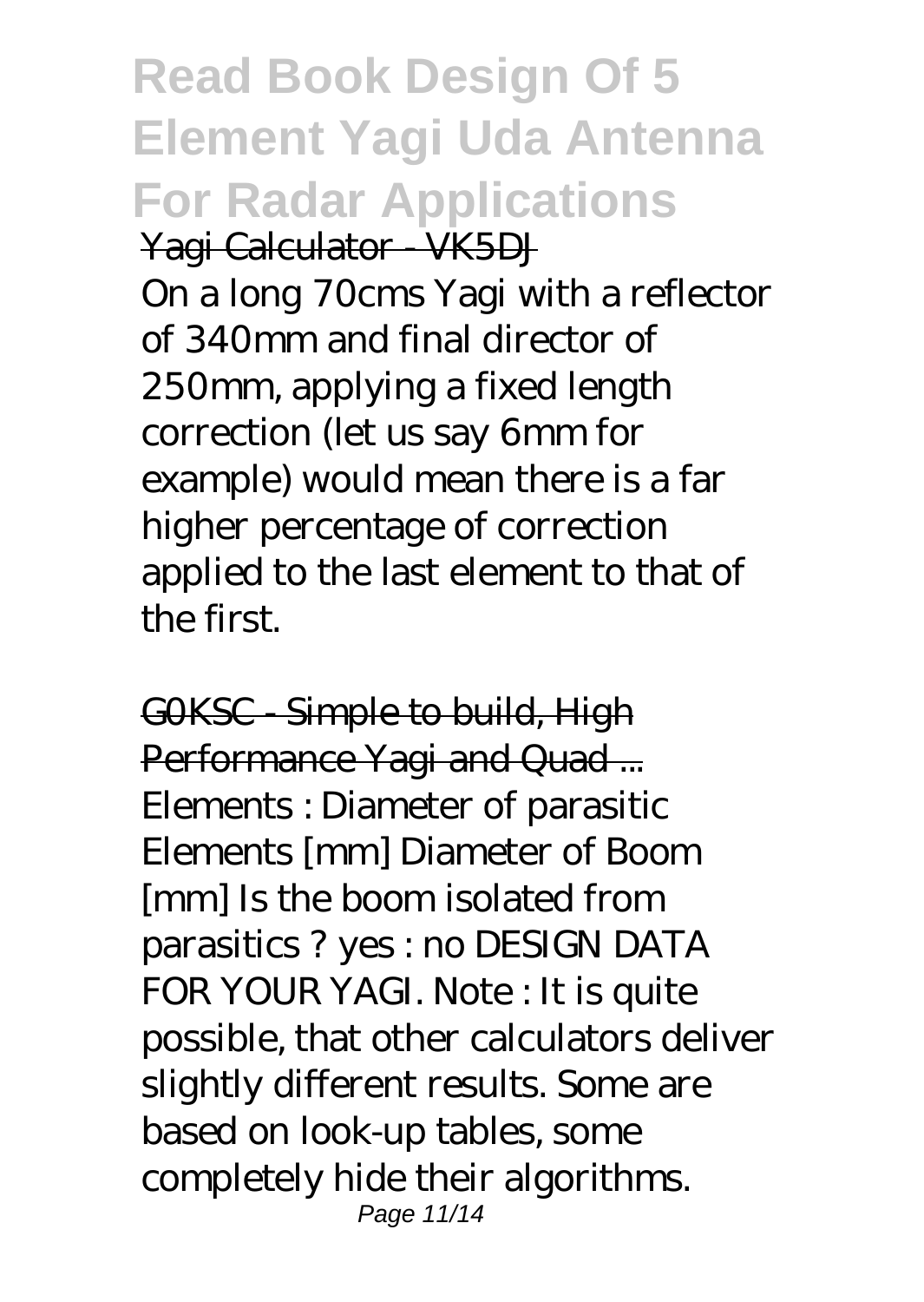**Read Book Design Of 5 Element Yagi Uda Antenna For Radar Applications** Yagi Calculator VK5DJ On a long 70cms Yagi with a reflector of 340mm and final director of 250mm, applying a fixed length correction (let us say 6mm for example) would mean there is a far higher percentage of correction applied to the last element to that of the first.

GOKSC Simple to build, High Performance Yagi and Quad ... Elements : Diameter of parasitic Elements [mm] Diameter of Boom [mm] Is the boom isolated from parasitics ? yes : no DESIGN DATA FOR YOUR YAGI. Note : It is quite possible, that other calculators deliver slightly different results. Some are based on look-up tables, some completely hide their algorithms. Page 11/14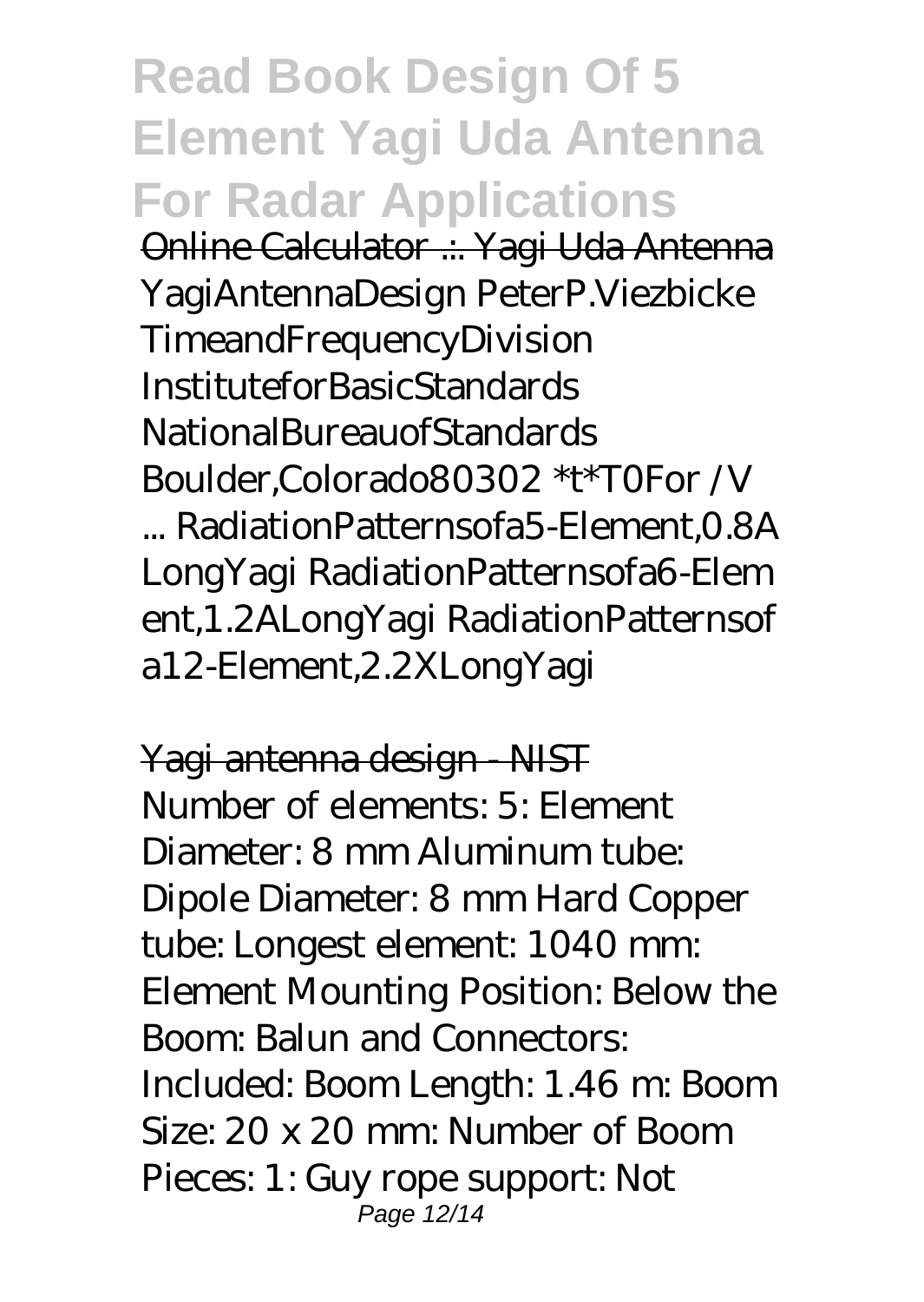**Read Book Design Of 5 Element Yagi Uda Antenna For Radar Applications** Online Calculator .:. Yagi Uda Antenna YagiAntennaDesign PeterP.Viezbicke TimeandFrequencyDivision InstituteforBasicStandards NationalBureauofStandards Boulder,Colorado80302 \*t\*T0For /V ... RadiationPatternsofa5-Element,0.8A LongYagi RadiationPatternsofa6-Elem ent,1.2ALongYagi RadiationPatternsof a12-Element,2.2XLongYagi

Yagi antenna design - NIST Number of elements: 5: Element Diameter: 8 mm Aluminum tube: Dipole Diameter: 8 mm Hard Copper tube: Longest element: 1040 mm: Element Mounting Position: Below the Boom: Balun and Connectors: Included: Boom Length: 1.46 m: Boom Size: 20 x 20 mm: Number of Boom Pieces: 1: Guy rope support: Not Page 12/14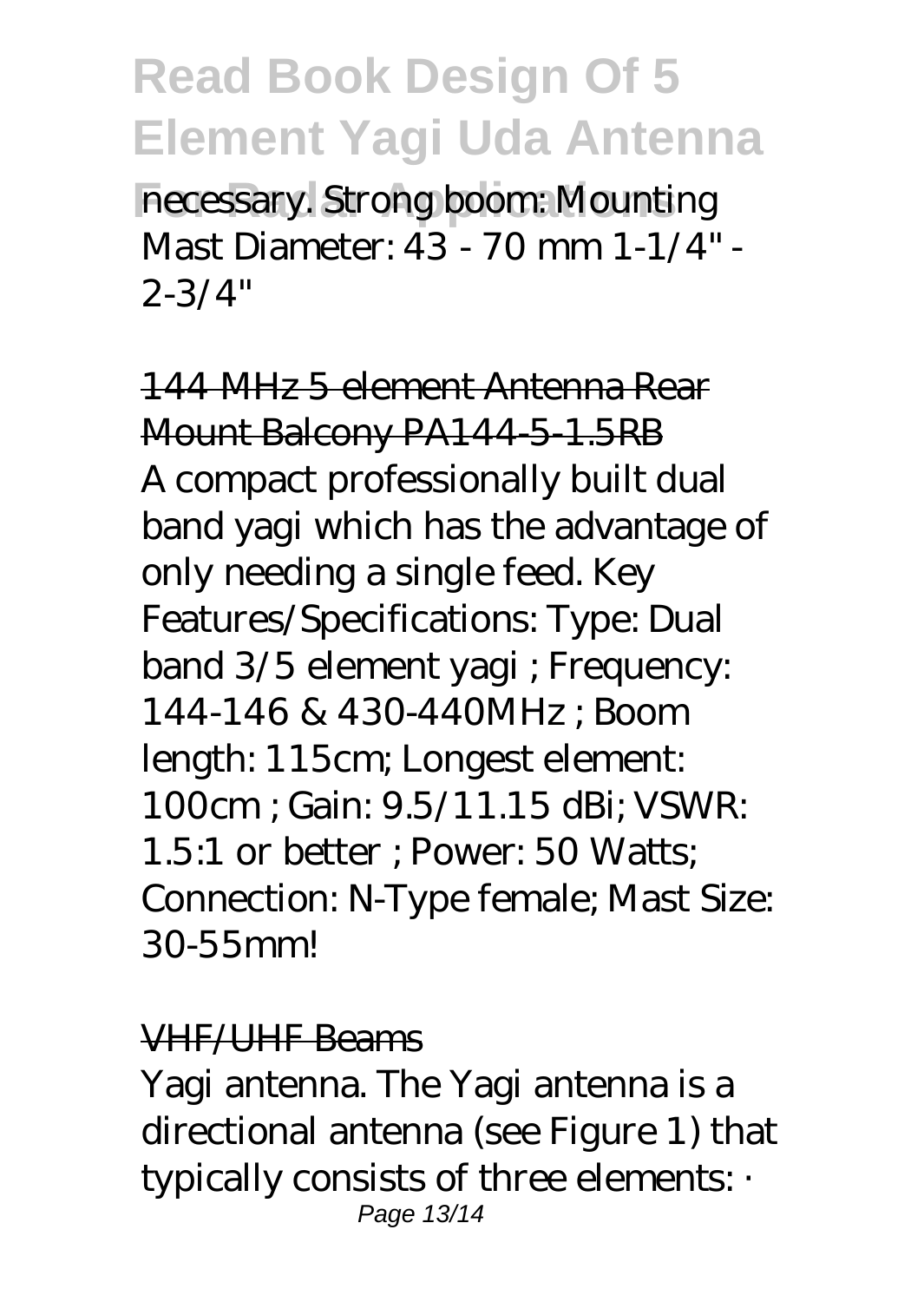**For Radar Applications** necessary. Strong boom: Mounting Mast Diameter: 43 - 70 mm 1-1/4" - 2-3/4"

144 MHz 5 element Antenna Rear Mount Balcony PA144-5-1.5RB A compact professionally built dual band yagi which has the advantage of only needing a single feed. Key Features/Specifications: Type: Dual band 3/5 element yagi ; Frequency: 144-146 & 430-440MHz ; Boom length: 115cm; Longest element: 100cm ; Gain: 9.5/11.15 dBi; VSWR: 1.5:1 or better ; Power: 50 Watts; Connection: N-Type female; Mast Size: 30-55mm!

#### VHF/UHF Beams

Yagi antenna. The Yagi antenna is a directional antenna (see Figure 1) that typically consists of three elements: · Page 13/14